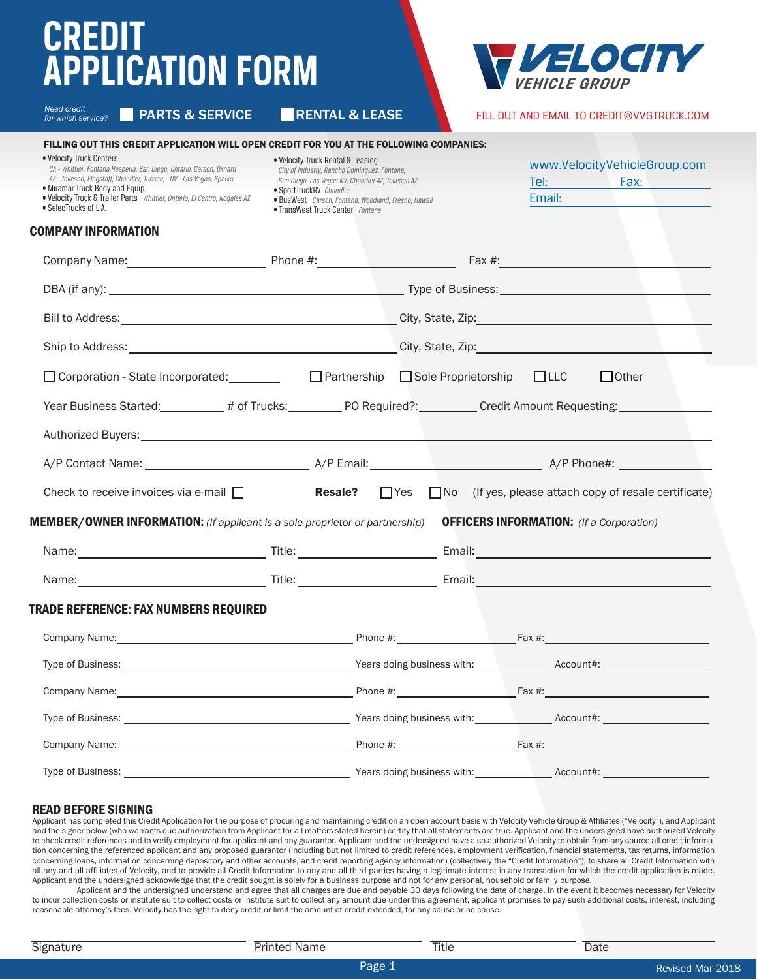## **CREDIT APPLICATION FORM**

| EI O<br>OCIT         |
|----------------------|
| <i>VEHICLE GROUP</i> |

FILL OUT AND EMAIL TO CREDIT@VVGTRUCK.COM

Tel: Fax:

Email:

۲

www.VelocityVehicleGroup.com

*for which service?*

• SelecTrucks of L.A.

Need credit<br>for which service? **PRARTS & SERVICE RENTAL & LEASE** 

#### FILLING OUT THIS CREDIT APPLICATION WILL OPEN CREDIT FOR YOU AT THE FOLLOWING COMPANIES:

| . Velocity Truck Centers |  |  |
|--------------------------|--|--|

• Miramar Truck Body and Equip.

*CA - Whittier, Fontana,Hesperia, San Diego, Ontario, Carson, Oxnard AZ - Tolleson, Flagstaff, Chandler, Tucson, NV - Las Vegas, Sparks*

• Velocity Truck & Trailer Parts *Whittier, Ontario, El Centro, Nogales AZ*

• Velocity Truck Rental & Leasing

 *City of Industry, Rancho Dominguez, Fontana, San Diego, Las Vegas NV, Chandler AZ, Tolleson AZ*

- SportTruckRV *Chandler*
- 
- BusWest *Carson, Fontana, Woodland, Fresno, Hawaii*
- TransWest Truck Center *Fontana*

#### COMPANY INFORMATION

| □ Corporation - State Incorporated: <u>Departmership</u> Deartnership Development Development Development Development                                                                                                          |  |  |                                                                                              |  |  | $\Box$ Other                                                                           |
|--------------------------------------------------------------------------------------------------------------------------------------------------------------------------------------------------------------------------------|--|--|----------------------------------------------------------------------------------------------|--|--|----------------------------------------------------------------------------------------|
| Year Business Started: __________ # of Trucks: __________ PO Required?: _________ Credit Amount Requesting: ________                                                                                                           |  |  |                                                                                              |  |  |                                                                                        |
| Authorized Buyers: Authorized Buyers: Authorized Buyers: Authorized Buyers: Authorized Buyers: Authorized Buyers                                                                                                               |  |  |                                                                                              |  |  |                                                                                        |
|                                                                                                                                                                                                                                |  |  |                                                                                              |  |  |                                                                                        |
| Check to receive invoices via e-mail $\Box$                                                                                                                                                                                    |  |  |                                                                                              |  |  | <b>Resale?</b> $\Box$ Yes $\Box$ No (If yes, please attach copy of resale certificate) |
| <b>MEMBER/OWNER INFORMATION:</b> (If applicant is a sole proprietor or partnership) $\qquad$ <b>OFFICERS INFORMATION:</b> (If a Corporation)                                                                                   |  |  |                                                                                              |  |  |                                                                                        |
|                                                                                                                                                                                                                                |  |  |                                                                                              |  |  |                                                                                        |
|                                                                                                                                                                                                                                |  |  |                                                                                              |  |  |                                                                                        |
| TRADE REFERENCE: FAX NUMBERS REQUIRED                                                                                                                                                                                          |  |  |                                                                                              |  |  |                                                                                        |
|                                                                                                                                                                                                                                |  |  |                                                                                              |  |  |                                                                                        |
|                                                                                                                                                                                                                                |  |  |                                                                                              |  |  |                                                                                        |
| Company Name: 1990 Company Name: 1990 Company Name: 1991 Company Name: 1991 Company Name: 1991 Company Name: 1991 Company Name: 1991 Company Name: 1991 Company Name: 1991 Company Name: 1991 Company October 2008 Company Oct |  |  |                                                                                              |  |  |                                                                                        |
|                                                                                                                                                                                                                                |  |  |                                                                                              |  |  |                                                                                        |
|                                                                                                                                                                                                                                |  |  |                                                                                              |  |  |                                                                                        |
| Type of Business:                                                                                                                                                                                                              |  |  | Nears doing business with: Necount#: Nears doing business with: Nearly Mccount #: Necount #: |  |  |                                                                                        |

### READ BEFORE SIGNING

Applicant has completed this Credit Application for the purpose of procuring and maintaining credit on an open account basis with Velocity Vehicle Group & Affiliates ("Velocity"), and Applicant and the signer below (who warrants due authorization from Applicant for all matters stated herein) certify that all statements are true. Applicant and the undersigned have authorized Velocity to check credit references and to verify employment for applicant and any guarantor. Applicant and the undersigned have also authorized Velocity to obtain from any source all credit information concerning the referenced applicant and any proposed guarantor (including but not limited to credit references, employment verification, financial statements, tax returns, information concerning loans, information concerning depository and other accounts, and credit reporting agency information) (collectively the "Credit Information"), to share all Credit Information with all any and all affiliates of Velocity, and to provide all Credit Information to any and all third parties having a legitimate interest in any transaction for which the credit application is made. Applicant and the undersigned acknowledge that the credit sought is solely for a business purpose and not for any personal, household or family purpose.

Applicant and the undersigned understand and agree that all charges are due and payable 30 days following the date of charge. In the event it becomes necessary for Velocity to incur collection costs or institute suit to collect costs or institute suit to collect any amount due under this agreement, applicant promises to pay such additional costs, interest, including reasonable attorney's fees. Velocity has the right to deny credit or limit the amount of credit extended, for any cause or no cause.

Signature **Printed Name Title Date** Date

Page 1